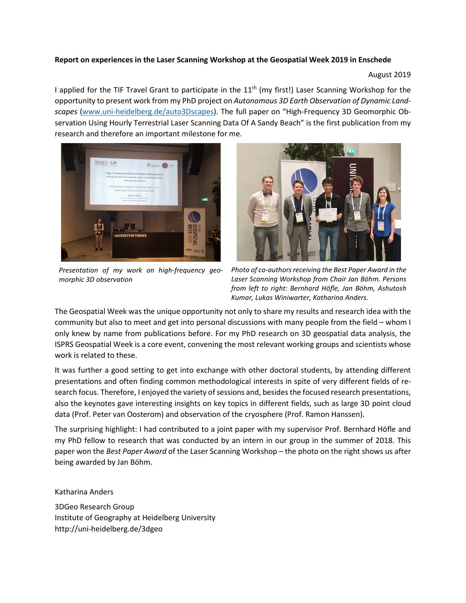## **Report on experiences in the Laser Scanning Workshop at the Geospatial Week 2019 in Enschede**

August 2019

I applied for the TIF Travel Grant to participate in the  $11<sup>th</sup>$  (my first!) Laser Scanning Workshop for the opportunity to present work from my PhD project on *Autonomous 3D Earth Observation of Dynamic Landscapes* [\(www.uni-heidelberg.de/auto3Dscapes\)](http://www.uni-heidelberg.de/auto3Dscapes). The full paper on "High-Frequency 3D Geomorphic Observation Using Hourly Terrestrial Laser Scanning Data Of A Sandy Beach" is the first publication from my research and therefore an important milestone for me.



*Presentation of my work on high-frequency geomorphic 3D observation*



*Photo of co-authors receiving the Best Paper Award in the Laser Scanning Workshop from Chair Jan Böhm. Persons from left to right: Bernhard Höfle, Jan Böhm, Ashutosh Kumar, Lukas Winiwarter, Katharina Anders.*

The Geospatial Week was the unique opportunity not only to share my results and research idea with the community but also to meet and get into personal discussions with many people from the field – whom I only knew by name from publications before. For my PhD research on 3D geospatial data analysis, the ISPRS Geospatial Week is a core event, convening the most relevant working groups and scientists whose work is related to these.

It was further a good setting to get into exchange with other doctoral students, by attending different presentations and often finding common methodological interests in spite of very different fields of research focus. Therefore, I enjoyed the variety of sessions and, besides the focused research presentations, also the keynotes gave interesting insights on key topics in different fields, such as large 3D point cloud data (Prof. Peter van Oosterom) and observation of the cryosphere (Prof. Ramon Hanssen).

The surprising highlight: I had contributed to a joint paper with my supervisor Prof. Bernhard Höfle and my PhD fellow to research that was conducted by an intern in our group in the summer of 2018. This paper won the *Best Paper Award* of the Laser Scanning Workshop – the photo on the right shows us after being awarded by Jan Böhm.

Katharina Anders 3DGeo Research Group Institute of Geography at Heidelberg University http://uni-heidelberg.de/3dgeo